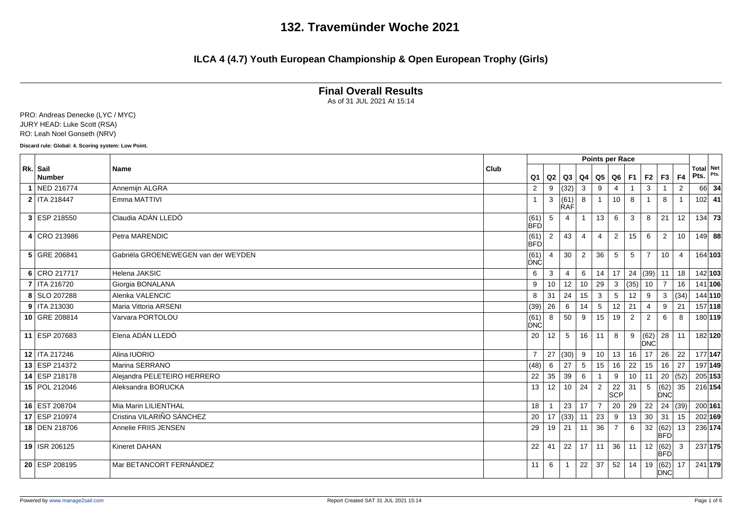### **ILCA 4 (4.7) Youth European Championship & Open European Trophy (Girls)**

**Final Overall Results**

As of 31 JUL 2021 At 15:14

PRO: Andreas Denecke (LYC / MYC) JURY HEAD: Luke Scott (RSA) RO: Leah Noel Gonseth (NRV)

**Discard rule: Global: 4. Scoring system: Low Point.**

|                           |                                     |                        |                |                 |                |                 | <b>Points per Race</b> |      |                         |                    |                |               |             |
|---------------------------|-------------------------------------|------------------------|----------------|-----------------|----------------|-----------------|------------------------|------|-------------------------|--------------------|----------------|---------------|-------------|
| Rk. Sail<br><b>Number</b> | <b>Name</b>                         | Club<br>Q <sub>1</sub> | Q2             | Q3              | Q <sub>4</sub> |                 | Q5   Q6   F1           |      | F <sub>2</sub>          | F3                 | F4             | Total<br>Pts. | Net<br>Pts. |
| 1 NED 216774              | Annemijn ALGRA                      | 2                      | 9              | (32)            | 3              | 9               | 4                      |      | 3                       |                    | 2              | 66            | - 34        |
| 2   ITA 218447            | Emma MATTIVI                        | $\mathbf 1$            | 3              | (61)            | 8              | $\mathbf{1}$    | 10                     | 8    |                         | 8                  | $\mathbf{1}$   | $102$ 41      |             |
|                           |                                     |                        |                | <b>RAF</b>      |                |                 |                        |      |                         |                    |                |               |             |
| 3 ESP 218550              | Claudia ADÁN LLEDÓ                  | (61)<br><b>BFD</b>     | 5              | $\overline{4}$  | $\overline{1}$ | 13              | 6                      | 3    | 8                       | 21                 | 12             |               | $134$ 73    |
| 4 CRO 213986              | Petra MARENDIC                      | (61)<br>BFD            | $\overline{2}$ | 43              | 4              | 4               | $\overline{2}$         | 15   | 6                       | $\overline{2}$     | 10             | $149$ 88      |             |
| 5 GRE 206841              | Gabriëla GROENEWEGEN van der WEYDEN | (61)<br>DNC            | $\overline{4}$ | 30              | 2              | 36              | 5                      | 5    | $\overline{7}$          | 10 <sup>1</sup>    | $\overline{4}$ | 164 103       |             |
| 6 CRO 217717              | Helena JAKSIC                       | 6                      | 3              | $\overline{4}$  | 6              | 14              | 17                     | 24   | (39)                    | 11                 | 18             | 142 103       |             |
| 7   ITA 216720            | Giorgia BONALANA                    | 9                      | 10             | 12              | 10             | 29              | 3                      | (35) | 10                      | $\overline{7}$     | 16             | 141 106       |             |
| 8 SLO 207288              | Alenka VALENCIC                     | 8                      | 31             | 24              | 15             | $\mathbf{3}$    | 5                      | 12   | 9                       | 3                  | (34)           | 144 110       |             |
| 9   ITA 213030            | Maria Vittoria ARSENI               | (39)                   | 26             | 6               | 14             | $5\overline{5}$ | 12                     | 21   | $\overline{4}$          | 9                  | 21             | 157 118       |             |
| 10 GRE 208814             | Varvara PORTOLOU                    | (61)<br><b>DNC</b>     | 8              | 50              | 9              | 15              | 19                     | 2    | 2                       | 6                  | 8              | 180 119       |             |
| 11 ESP 207683             | Elena ADÁN LLEDÓ                    | 20                     | 12             | 5               | 16             | 11              | 8                      | 9    | $\overline{62)}$<br>DNC | 28                 | $\vert$ 11     | 182 120       |             |
| 12   ITA 217246           | Alina IUORIO                        | $\overline{7}$         |                | 27   (30)       | 9              | 10 <sup>°</sup> | 13                     | 16   | 17                      | 26                 | 22             | 177 147       |             |
| 13 ESP 214372             | Marina SERRANO                      | (48)                   | 6              | 27              | 5              | 15              | 16                     | 22   | 15                      | 16                 | 27             | 197 149       |             |
| 14 ESP 218178             | Alejandra PELETEIRO HERRERO         | 22                     | 35             | 39              | 6              |                 | 9                      | 10   | 11                      | 20   (52)          |                | 205 153       |             |
| 15 POL 212046             | Aleksandra BORUCKA                  | 13                     | 12             | 10 <sup>1</sup> | 24             | $\overline{2}$  | 22<br>SCP              | 31   | 5                       | $(62)$ 35<br>DNC   |                | 216 154       |             |
| 16 EST 208704             | Mia Marin LILIENTHAL                | 18                     |                | 23              | 17             | $7\overline{ }$ | 20                     | 29   | 22                      | 24   (39)          |                | 200 161       |             |
| 17 ESP 210974             | Cristina VILARIÑO SÁNCHEZ           | 20                     |                | 17  (33)        | 11             | 23              | 9                      | 13   | 30                      | 31                 | 15             | 202 169       |             |
| 18 DEN 218706             | Annelie FRIIS JENSEN                | 29                     | 19             | 21              | 11             | 36              | $\overline{7}$         | 6    | 32                      | (62)<br> BFD       | 13             | 236 174       |             |
| 19   ISR 206125           | Kineret DAHAN                       | 22                     | 41             | 22              | 17             | 11              | 36                     | 11   | 12                      | (62)<br>BFD        | 3              |               | 237 175     |
| 20 ESP 208195             | Mar BETANCORT FERNÁNDEZ             | 11                     | 6              | $\overline{1}$  | 22             | 37              | 52                     | 14   | 19                      | (62)<br><b>DNC</b> | 17             | 241 179       |             |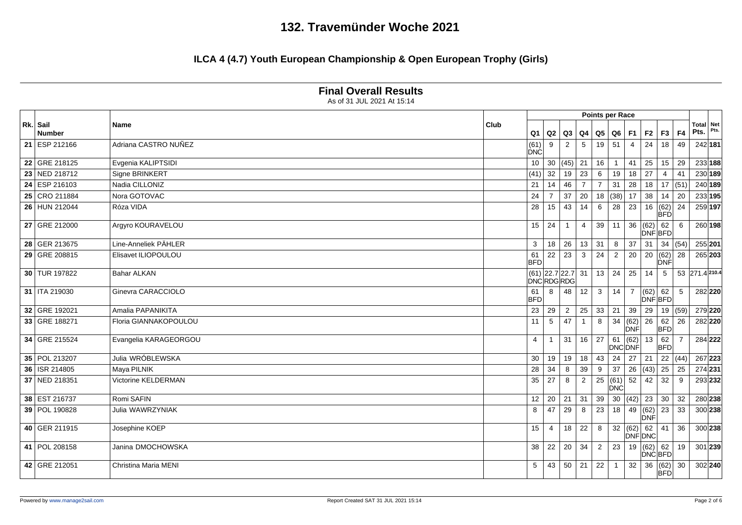### **ILCA 4 (4.7) Youth European Championship & Open European Trophy (Girls)**

|    |                           |                            |                        |                                         |                |                |                | Points per Race         |                    |                      |                    |                |                |             |
|----|---------------------------|----------------------------|------------------------|-----------------------------------------|----------------|----------------|----------------|-------------------------|--------------------|----------------------|--------------------|----------------|----------------|-------------|
|    | Rk. Sail<br><b>Number</b> | Name                       | Club<br>Q <sub>1</sub> |                                         | $Q2$ $Q3$      | Q4             | Q5             | $Q6$ F1                 |                    | F <sub>2</sub>       | F3                 | F4             | Total<br>Pts.  | Net<br>Pts. |
|    | 21 ESP 212166             | Adriana CASTRO NUÑEZ       | (61)<br>DNC            | 9                                       | 2              | 5              | 19             | 51                      | $\overline{4}$     | 24                   | 18                 | 49             | 242 181        |             |
|    | 22 GRE 218125             | Evgenia KALIPTSIDI         | 10                     |                                         | 30 (45)        | 21             | 16             | $\mathbf{1}$            | 41                 | 25                   | 15                 | 29             | 233 188        |             |
| 23 | NED 218712                | Signe BRINKERT             | (41)                   | 32                                      | 19             | 23             | 6              | 19                      | 18                 | 27                   | 4                  | 41             | 230 189        |             |
|    | 24 ESP 216103             | Nadia CILLONIZ             | 21                     | 14                                      | 46             | $\overline{7}$ | $\overline{7}$ | 31                      | 28                 | 18                   | 17   (51)          |                | 240 189        |             |
|    | 25 CRO 211884             | Nora GOTOVAC               | 24                     | $\overline{7}$                          | 37             | 20             |                | 18   (38)               | 17                 | 38                   | 14                 | 20             | 233 195        |             |
|    | 26 HUN 212044             | Róza VIDA                  | 28                     | 15                                      | 43             | 14             | 6              | 28                      | 23                 | 16                   | (62)<br><b>BFD</b> | 24             | 259 197        |             |
|    | 27 GRE 212000             | Argyro KOURAVELOU          | 15                     | 24                                      | $\overline{1}$ | 4              | 39             | 11                      | 36                 | (62)<br>DNF BFD      | 62                 | 6              |                | 260 198     |
| 28 | GER 213675                | Line-Anneliek PÄHLER       | 3                      | 18                                      | 26             | 13             | 31             | 8                       | 37                 | 31                   | 34   (54)          |                | 255 201        |             |
| 29 | GRE 208815                | Elisavet ILIOPOULOU        | 61<br><b>BFD</b>       | 22                                      | 23             | 3              | 24             | $\overline{2}$          | 20                 | 20                   | (62)<br>DNF        | 28             | 265 203        |             |
|    | 30 TUR 197822             | <b>Bahar ALKAN</b>         |                        | $(61)$ 22.7 22.7 31<br><b>DNCRDGRDG</b> |                |                | 13             | 24                      | 25                 | 14                   | 5                  |                | 53 271.4 210.4 |             |
|    | 31   ITA 219030           | Ginevra CARACCIOLO         | 61<br><b>BFD</b>       | 8                                       | 48             | 12             | 3              | 14                      | $\overline{7}$     | (62)<br>DNFBFD       | 62                 | 5              |                | 282 220     |
|    | 32 GRE 192021             | Amalia PAPANIKITA          | 23                     | 29                                      | $\overline{2}$ | 25             | 33             | 21                      | 39                 | 29                   | 19   (59)          |                |                | 279 220     |
|    | 33 GRE 188271             | Floria GIANNAKOPOULOU      | 11                     | 5                                       | 47             |                | 8              | 34                      | (62)<br><b>DNF</b> | 26                   | 62<br><b>BFD</b>   | 26             | 282 220        |             |
|    | 34 GRE 215524             | Evangelia KARAGEORGOU      | 4                      | -1                                      | 31             | 16             | 27             | 61<br>DNC DNF           | (62)               | 13                   | 62<br><b>BFD</b>   | $\overline{7}$ |                | 284 222     |
|    | 35 POL 213207             | Julia WRÓBLEWSKA           | 30                     | 19                                      | 19             | 18             | 43             | 24                      | 27                 | 21                   |                    | 22   (44)      | 267 223        |             |
| 36 | <b>ISR 214805</b>         | Maya PILNIK                | 28                     | 34                                      | 8              | 39             | 9              | 37                      | 26                 | (43)                 | 25                 | 25             | 274 231        |             |
|    | 37 NED 218351             | <b>Victorine KELDERMAN</b> | 35                     | $27\,$                                  | 8              | $\overline{2}$ |                | $\sqrt{25}$ (61)<br>DNC | 52                 | 42                   | 32                 | 9              |                | 293 232     |
|    | 38 EST 216737             | Romi SAFIN                 | 12                     | 20                                      | 21             | 31             | 39             | 30                      | (42)               | 23                   | 30 <sup>°</sup>    | 32             | 280 238        |             |
|    | 39 POL 190828             | Julia WAWRZYNIAK           | 8                      | 47                                      | 29             | 8              | 23             | 18                      | 49                 | (62)<br>DNF          | 23                 | 33             |                | 300 238     |
|    | 40 GER 211915             | Josephine KOEP             | 15                     | $\overline{4}$                          | 18             | 22             | 8              |                         | 32   (62)          | 62<br><b>DNF DNC</b> | 41                 | 36             |                | 300 238     |
|    | 41   POL 208158           | Janina DMOCHOWSKA          | 38                     | 22                                      | 20             | 34             | $\overline{2}$ | 23                      | 19                 | (62)<br>DNCBFD       | 62                 | 19             |                | $301$ 239   |
|    | 42 GRE 212051             | Christina Maria MENI       | 5                      | 43                                      | 50             | 21             | 22             | $\overline{1}$          | 32                 | 36                   | (62)<br><b>BFD</b> | 30             |                | 302 240     |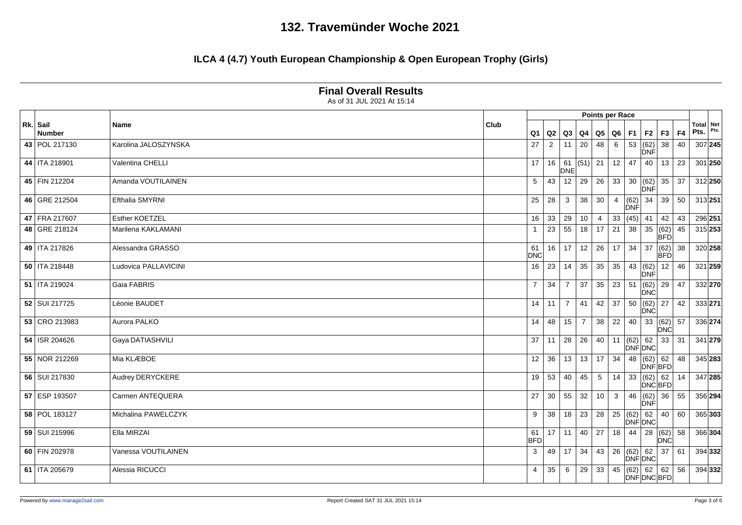### **ILCA 4 (4.7) Youth European Championship & Open European Trophy (Girls)**

| As of 31 JUL 2021 At 15:14<br>Points per Race<br>Total Net<br>Rk. Sail<br>Club<br>Name<br>Pts.<br>Pts.<br>F4<br>F2<br>F3<br><b>Number</b><br>Q <sub>1</sub><br>Q2<br>Q3<br>Q5<br>Q6<br><b>F1</b><br>Q4<br>$\,6\,$<br>53<br>(62)<br>38<br>307 245<br>43 POL 217130<br>Karolina JALOSZYNSKA<br>$\overline{2}$<br>20<br>48<br>40<br>27<br>11<br>DNF<br>$ 61 $ (51)<br>21<br>44   ITA 218901<br>16<br>12<br>47<br>13<br>23<br>301 250<br>Valentina CHELLI<br>17<br>40<br><b>DNE</b><br>45 FIN 212204<br>Amanda VOUTILAINEN<br>43<br>$12 \mid 29$<br>26<br>33<br>30<br>(62)<br>312 250<br>5<br>35<br> 37<br>DNF<br>46 GRE 212504<br>30<br>Efthalia SMYRNI<br>28<br>3<br>38<br>(62)<br>34<br>39<br>50<br>313 251<br>25<br>$\overline{4}$<br>DNF<br>47 FRA 217607<br>33<br>Esther KOETZEL<br>33<br>29<br>10<br>(45)<br>41<br>42<br>43<br>296 251<br>16<br>$\overline{4}$<br>55<br>23<br>18<br>17<br>21<br>35<br>(62) 45<br>315 253<br>48 GRE 218124<br>Marilena KAKLAMANI<br>38<br>$\overline{1}$<br>BFD.<br>34<br>$\overline{37}$<br>49   ITA 217826<br>17<br>12<br>26<br>(62)<br>320 258<br>Alessandra GRASSO<br>16<br>17<br>38<br>61<br><b>DNC</b><br><b>BFD</b><br>$50$   ITA 218448<br>Ludovica PALLAVICINI<br>35<br>23<br>14<br>35<br>35<br>43<br>(62)<br>12<br>46<br>321 259<br>16<br>DNF<br>51   ITA 219024<br>23<br>51<br>$\overline{7}$<br>34<br>37<br>35<br>(62)<br>29<br>47<br>332 270<br>Gaia FABRIS<br>$\overline{7}$<br>DNC<br>52 SUI 217725<br>50<br>Léonie BAUDET<br>41<br>42<br>37<br>(62)<br>27<br>333 271<br>14<br>11<br>$\overline{7}$<br>42<br>DNC<br>53 CRO 213983<br>Aurora PALKO<br>38<br>22<br>33   (62)   57<br>336 274<br>14<br>48<br>15<br>$\overline{7}$<br>40<br><b>DNC</b><br>54   ISR 204626<br>Gaya DATIASHVILI<br>28<br>26<br>(62)<br>62<br>31<br>341 279<br>37<br>11<br>40<br>11<br>33<br><b>DNFDNC</b><br>(62) 62<br>345 283<br>55 NOR 212269<br>Mia KLÆBOE<br>36<br>13<br>13<br>17<br>34<br>48<br>12<br>48<br><b>DNFBFD</b><br>56 SUI 217830<br>33<br>347 285<br>Audrey DERYCKERE<br>53<br>14<br>(62)<br>19<br>40<br>45<br>$5\overline{)}$<br>62<br>14<br><b>DNCBFD</b><br>57 ESP 193507<br>55<br>32<br>356 294<br>Carmen ANTEQUERA<br>27<br>30 <sup>°</sup><br>$10$<br>$\mathbf{3}$<br>46<br>(62)<br>36<br>55<br>DNF<br>58 POL 183127<br>23<br>28<br>25   (62)<br>Michalina PAWELCZYK<br>38<br>18<br>62<br>40<br>60<br>365 303<br>9<br><b>DNFDNC</b> |                 |                     |                  |    |              |    |    |    |           |                   |                           |    |  |         |
|--------------------------------------------------------------------------------------------------------------------------------------------------------------------------------------------------------------------------------------------------------------------------------------------------------------------------------------------------------------------------------------------------------------------------------------------------------------------------------------------------------------------------------------------------------------------------------------------------------------------------------------------------------------------------------------------------------------------------------------------------------------------------------------------------------------------------------------------------------------------------------------------------------------------------------------------------------------------------------------------------------------------------------------------------------------------------------------------------------------------------------------------------------------------------------------------------------------------------------------------------------------------------------------------------------------------------------------------------------------------------------------------------------------------------------------------------------------------------------------------------------------------------------------------------------------------------------------------------------------------------------------------------------------------------------------------------------------------------------------------------------------------------------------------------------------------------------------------------------------------------------------------------------------------------------------------------------------------------------------------------------------------------------------------------------------------------------------------------------------------------------------------------------------------------------------------------------------------------------------------------------------------------------------------------------------------------------------------------------------------------------------|-----------------|---------------------|------------------|----|--------------|----|----|----|-----------|-------------------|---------------------------|----|--|---------|
|                                                                                                                                                                                                                                                                                                                                                                                                                                                                                                                                                                                                                                                                                                                                                                                                                                                                                                                                                                                                                                                                                                                                                                                                                                                                                                                                                                                                                                                                                                                                                                                                                                                                                                                                                                                                                                                                                                                                                                                                                                                                                                                                                                                                                                                                                                                                                                                      |                 |                     |                  |    |              |    |    |    |           |                   |                           |    |  |         |
|                                                                                                                                                                                                                                                                                                                                                                                                                                                                                                                                                                                                                                                                                                                                                                                                                                                                                                                                                                                                                                                                                                                                                                                                                                                                                                                                                                                                                                                                                                                                                                                                                                                                                                                                                                                                                                                                                                                                                                                                                                                                                                                                                                                                                                                                                                                                                                                      |                 |                     |                  |    |              |    |    |    |           |                   |                           |    |  |         |
|                                                                                                                                                                                                                                                                                                                                                                                                                                                                                                                                                                                                                                                                                                                                                                                                                                                                                                                                                                                                                                                                                                                                                                                                                                                                                                                                                                                                                                                                                                                                                                                                                                                                                                                                                                                                                                                                                                                                                                                                                                                                                                                                                                                                                                                                                                                                                                                      |                 |                     |                  |    |              |    |    |    |           |                   |                           |    |  |         |
|                                                                                                                                                                                                                                                                                                                                                                                                                                                                                                                                                                                                                                                                                                                                                                                                                                                                                                                                                                                                                                                                                                                                                                                                                                                                                                                                                                                                                                                                                                                                                                                                                                                                                                                                                                                                                                                                                                                                                                                                                                                                                                                                                                                                                                                                                                                                                                                      |                 |                     |                  |    |              |    |    |    |           |                   |                           |    |  |         |
|                                                                                                                                                                                                                                                                                                                                                                                                                                                                                                                                                                                                                                                                                                                                                                                                                                                                                                                                                                                                                                                                                                                                                                                                                                                                                                                                                                                                                                                                                                                                                                                                                                                                                                                                                                                                                                                                                                                                                                                                                                                                                                                                                                                                                                                                                                                                                                                      |                 |                     |                  |    |              |    |    |    |           |                   |                           |    |  |         |
|                                                                                                                                                                                                                                                                                                                                                                                                                                                                                                                                                                                                                                                                                                                                                                                                                                                                                                                                                                                                                                                                                                                                                                                                                                                                                                                                                                                                                                                                                                                                                                                                                                                                                                                                                                                                                                                                                                                                                                                                                                                                                                                                                                                                                                                                                                                                                                                      |                 |                     |                  |    |              |    |    |    |           |                   |                           |    |  |         |
|                                                                                                                                                                                                                                                                                                                                                                                                                                                                                                                                                                                                                                                                                                                                                                                                                                                                                                                                                                                                                                                                                                                                                                                                                                                                                                                                                                                                                                                                                                                                                                                                                                                                                                                                                                                                                                                                                                                                                                                                                                                                                                                                                                                                                                                                                                                                                                                      |                 |                     |                  |    |              |    |    |    |           |                   |                           |    |  |         |
|                                                                                                                                                                                                                                                                                                                                                                                                                                                                                                                                                                                                                                                                                                                                                                                                                                                                                                                                                                                                                                                                                                                                                                                                                                                                                                                                                                                                                                                                                                                                                                                                                                                                                                                                                                                                                                                                                                                                                                                                                                                                                                                                                                                                                                                                                                                                                                                      |                 |                     |                  |    |              |    |    |    |           |                   |                           |    |  |         |
|                                                                                                                                                                                                                                                                                                                                                                                                                                                                                                                                                                                                                                                                                                                                                                                                                                                                                                                                                                                                                                                                                                                                                                                                                                                                                                                                                                                                                                                                                                                                                                                                                                                                                                                                                                                                                                                                                                                                                                                                                                                                                                                                                                                                                                                                                                                                                                                      |                 |                     |                  |    |              |    |    |    |           |                   |                           |    |  |         |
|                                                                                                                                                                                                                                                                                                                                                                                                                                                                                                                                                                                                                                                                                                                                                                                                                                                                                                                                                                                                                                                                                                                                                                                                                                                                                                                                                                                                                                                                                                                                                                                                                                                                                                                                                                                                                                                                                                                                                                                                                                                                                                                                                                                                                                                                                                                                                                                      |                 |                     |                  |    |              |    |    |    |           |                   |                           |    |  |         |
|                                                                                                                                                                                                                                                                                                                                                                                                                                                                                                                                                                                                                                                                                                                                                                                                                                                                                                                                                                                                                                                                                                                                                                                                                                                                                                                                                                                                                                                                                                                                                                                                                                                                                                                                                                                                                                                                                                                                                                                                                                                                                                                                                                                                                                                                                                                                                                                      |                 |                     |                  |    |              |    |    |    |           |                   |                           |    |  |         |
|                                                                                                                                                                                                                                                                                                                                                                                                                                                                                                                                                                                                                                                                                                                                                                                                                                                                                                                                                                                                                                                                                                                                                                                                                                                                                                                                                                                                                                                                                                                                                                                                                                                                                                                                                                                                                                                                                                                                                                                                                                                                                                                                                                                                                                                                                                                                                                                      |                 |                     |                  |    |              |    |    |    |           |                   |                           |    |  |         |
|                                                                                                                                                                                                                                                                                                                                                                                                                                                                                                                                                                                                                                                                                                                                                                                                                                                                                                                                                                                                                                                                                                                                                                                                                                                                                                                                                                                                                                                                                                                                                                                                                                                                                                                                                                                                                                                                                                                                                                                                                                                                                                                                                                                                                                                                                                                                                                                      |                 |                     |                  |    |              |    |    |    |           |                   |                           |    |  |         |
|                                                                                                                                                                                                                                                                                                                                                                                                                                                                                                                                                                                                                                                                                                                                                                                                                                                                                                                                                                                                                                                                                                                                                                                                                                                                                                                                                                                                                                                                                                                                                                                                                                                                                                                                                                                                                                                                                                                                                                                                                                                                                                                                                                                                                                                                                                                                                                                      |                 |                     |                  |    |              |    |    |    |           |                   |                           |    |  |         |
|                                                                                                                                                                                                                                                                                                                                                                                                                                                                                                                                                                                                                                                                                                                                                                                                                                                                                                                                                                                                                                                                                                                                                                                                                                                                                                                                                                                                                                                                                                                                                                                                                                                                                                                                                                                                                                                                                                                                                                                                                                                                                                                                                                                                                                                                                                                                                                                      |                 |                     |                  |    |              |    |    |    |           |                   |                           |    |  |         |
|                                                                                                                                                                                                                                                                                                                                                                                                                                                                                                                                                                                                                                                                                                                                                                                                                                                                                                                                                                                                                                                                                                                                                                                                                                                                                                                                                                                                                                                                                                                                                                                                                                                                                                                                                                                                                                                                                                                                                                                                                                                                                                                                                                                                                                                                                                                                                                                      |                 |                     |                  |    |              |    |    |    |           |                   |                           |    |  |         |
|                                                                                                                                                                                                                                                                                                                                                                                                                                                                                                                                                                                                                                                                                                                                                                                                                                                                                                                                                                                                                                                                                                                                                                                                                                                                                                                                                                                                                                                                                                                                                                                                                                                                                                                                                                                                                                                                                                                                                                                                                                                                                                                                                                                                                                                                                                                                                                                      |                 |                     |                  |    |              |    |    |    |           |                   |                           |    |  |         |
|                                                                                                                                                                                                                                                                                                                                                                                                                                                                                                                                                                                                                                                                                                                                                                                                                                                                                                                                                                                                                                                                                                                                                                                                                                                                                                                                                                                                                                                                                                                                                                                                                                                                                                                                                                                                                                                                                                                                                                                                                                                                                                                                                                                                                                                                                                                                                                                      |                 |                     |                  |    |              |    |    |    |           |                   |                           |    |  |         |
|                                                                                                                                                                                                                                                                                                                                                                                                                                                                                                                                                                                                                                                                                                                                                                                                                                                                                                                                                                                                                                                                                                                                                                                                                                                                                                                                                                                                                                                                                                                                                                                                                                                                                                                                                                                                                                                                                                                                                                                                                                                                                                                                                                                                                                                                                                                                                                                      | 59 SUI 215996   | Ella MIRZAI         | 61<br><b>BFD</b> |    | $17$   11    | 40 | 27 | 18 | 44        | 28                | $ (62) $ 58<br><b>DNC</b> |    |  | 366 304 |
|                                                                                                                                                                                                                                                                                                                                                                                                                                                                                                                                                                                                                                                                                                                                                                                                                                                                                                                                                                                                                                                                                                                                                                                                                                                                                                                                                                                                                                                                                                                                                                                                                                                                                                                                                                                                                                                                                                                                                                                                                                                                                                                                                                                                                                                                                                                                                                                      | 60 FIN 202978   | Vanessa VOUTILAINEN | 3                | 49 | $\boxed{17}$ | 34 | 43 |    | 26   (62) | 62<br>DNF DNC     | 37                        | 61 |  | 394 332 |
|                                                                                                                                                                                                                                                                                                                                                                                                                                                                                                                                                                                                                                                                                                                                                                                                                                                                                                                                                                                                                                                                                                                                                                                                                                                                                                                                                                                                                                                                                                                                                                                                                                                                                                                                                                                                                                                                                                                                                                                                                                                                                                                                                                                                                                                                                                                                                                                      | 61   ITA 205679 | Alessia RICUCCI     | 4                | 35 | 6            | 29 | 33 | 45 | (62)      | 62<br>DNF DNC BFD | 62                        | 56 |  | 394 332 |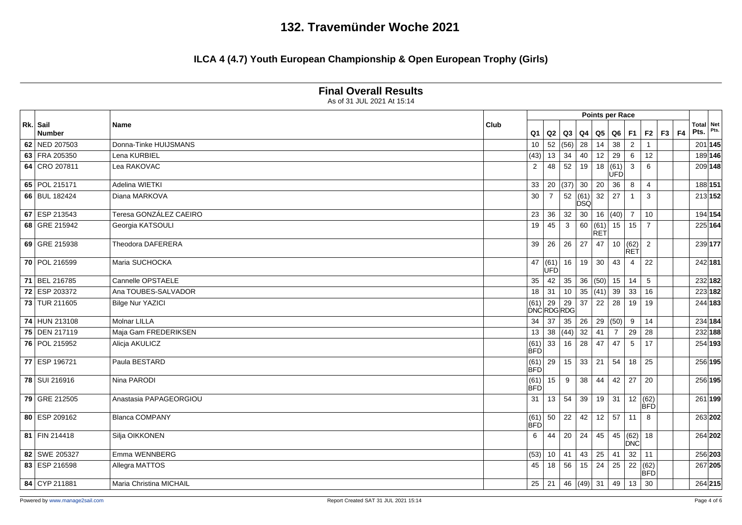### **ILCA 4 (4.7) Youth European Championship & Open European Trophy (Girls)**

| Rk. Sail      |                                |      |                             |                       |              |                     |                    | <b>Points per Race</b> |                             |                |          | <b>Total Net</b> |      |
|---------------|--------------------------------|------|-----------------------------|-----------------------|--------------|---------------------|--------------------|------------------------|-----------------------------|----------------|----------|------------------|------|
| <b>Number</b> | Name                           | Club | Q <sub>1</sub>              |                       | Q2   Q3      | Q4                  | Q5                 |                        | $Q6$ F1                     |                | F2 F3 F4 | Pts.             | Pts. |
| 62 NED 207503 | Donna-Tinke HUIJSMANS          |      | 10                          | 52   (56)             |              | 28                  | 14                 | 38                     | $\overline{2}$              |                |          | 201 145          |      |
| 63 FRA 205350 | Lena KURBIEL                   |      | (43)                        | 13                    | 34           | 40                  | 12                 | 29                     | 6                           | 12             |          | 189 146          |      |
| 64 CRO 207811 | Lea RAKOVAC                    |      | $\overline{2}$              | 48                    | 52           | 19                  | 18                 | (61)<br>UFD            | $\mathbf{3}$                | 6              |          | 209 148          |      |
| 65 POL 215171 | Adelina WIETKI                 |      | 33                          |                       | 20   (37)    | 30                  | 20                 | 36                     | 8                           | $\overline{4}$ |          | 188 151          |      |
| 66 BUL 182424 | Diana MARKOVA                  |      | 30                          | $\overline{7}$        | 52           | (61)<br><b>DSQ</b>  | 32                 | 27                     | $\mathbf{1}$                | 3              |          | 213 152          |      |
| 67 ESP 213543 | Teresa GONZÁLEZ CAEIRO         |      | 23                          | 36                    | 32           | 30                  |                    | 16  (40)               | $\overline{7}$              | 10             |          | 194 154          |      |
| 68 GRE 215942 | Georgia KATSOULI               |      | 19                          | 45                    | $\mathbf{3}$ | 60                  | (61)<br><b>RET</b> | 15                     | $\overline{15}$             | $\overline{7}$ |          | 225 164          |      |
| 69 GRE 215938 | Theodora DAFERERA              |      | 39                          | 26                    | 26           | 27                  | 47                 |                        | 10   (62)<br>RET            | 2              |          | 239 177          |      |
| 70 POL 216599 | Maria SUCHOCKA                 |      | 47                          | (61) 16<br><b>ÚFÓ</b> |              | 19                  | 30                 | 43                     | $\overline{4}$              | 22             |          | 242 181          |      |
| 71 BEL 216785 | Cannelle OPSTAELE              |      | 35                          | 42                    | 35           | 36                  | (50)               | 15                     | 14                          | 5              |          | 232 182          |      |
| 72 ESP 203372 | Ana TOUBES-SALVADOR            |      | 18                          | 31                    | 10           | 35                  | (41)               | $39 \mid 33$           |                             | 16             |          | 223 182          |      |
| 73 TUR 211605 | <b>Bilge Nur YAZICI</b>        |      | $(61)$ 29 29<br>DNC RDG RDG |                       |              | 37                  | 22                 | 28                     | 19                          | 19             |          | 244 183          |      |
| 74 HUN 213108 | <b>Molnar LILLA</b>            |      | 34                          | 37                    | 35           | 26                  | 29                 | (50)                   | 9                           | 14             |          | 234 184          |      |
| 75 DEN 217119 | Maja Gam FREDERIKSEN           |      | 13                          | 38                    | (44)         | 32                  | 41                 | $\overline{7}$         | 29                          | 28             |          | 232 188          |      |
| 76 POL 215952 | Alicja AKULICZ                 |      | (61)<br>BFD                 | 33                    | 16           | 28                  | 47                 | 47                     | 5                           | 17             |          | 254 193          |      |
| 77 ESP 196721 | Paula BESTARD                  |      | (61)<br><b>BFD</b>          | $29$ 15               |              | 33                  | $\overline{21}$    | 54                     | 18                          | 25             |          | 256 195          |      |
| 78 SUI 216916 | Nina PARODI                    |      | (61)<br><b>BFD</b>          | 15                    | 9            | 38                  | 44                 | 42                     | 27                          | 20             |          | 256 195          |      |
| 79 GRE 212505 | Anastasia PAPAGEORGIOU         |      | 31                          | 13                    | 54           | 39                  | 19                 | 31                     | 12                          | (BFD)          |          | 261 199          |      |
| 80 ESP 209162 | <b>Blanca COMPANY</b>          |      | (61)<br>BFD                 | $50 \mid 22$          |              | 42                  | 12                 | 57                     | 11                          | 8              |          | 263 202          |      |
| 81 FIN 214418 | Silja OIKKONEN                 |      | 6                           | 44                    | 20           | 24                  | 45                 |                        | $\overline{45}$ (62)<br>DNC | 18             |          | 264 202          |      |
| 82 SWE 205327 | Emma WENNBERG                  |      | (53)                        | 10 <sup>1</sup>       | 41           | 43                  | 25                 | 41                     | 32                          | 11             |          | 256 203          |      |
| 83 ESP 216598 | Allegra MATTOS                 |      | 45                          | 18                    | 56           | 15                  | 24                 | 25                     | $\overline{22}$             | (62)<br>BFD    |          | 267 205          |      |
| 84 CYP 211881 | <b>Maria Christina MICHAIL</b> |      | 25                          |                       |              | 21   46   (49)   31 |                    |                        | 49 13                       | 30             |          | 264 215          |      |

#### **Final Overall Results**

As of 31 JUL 2021 At 15:14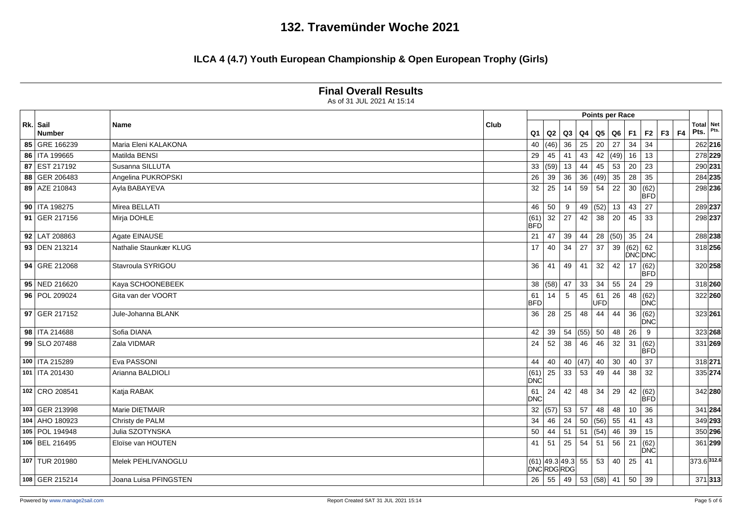### **ILCA 4 (4.7) Youth European Championship & Open European Trophy (Girls)**

|                                                                                   |                  | As of 31 JUL 2021 At 15:14 |                |                    |                                         |                   |               |                        |                 |                |                    |    |                   |             |         |
|-----------------------------------------------------------------------------------|------------------|----------------------------|----------------|--------------------|-----------------------------------------|-------------------|---------------|------------------------|-----------------|----------------|--------------------|----|-------------------|-------------|---------|
|                                                                                   |                  |                            |                |                    |                                         |                   |               | <b>Points per Race</b> |                 |                |                    |    |                   |             |         |
| Rk. Sail<br><b>Name</b><br><b>Number</b><br>85 GRE 166239<br>Maria Eleni KALAKONA |                  | Club                       | Q <sub>1</sub> | Q2                 | Q <sub>3</sub>                          | Q4                | $\mathsf{Q}5$ | Q6                     | F1              | F <sub>2</sub> | F3                 | F4 | Total Net<br>Pts. | Pts.        |         |
|                                                                                   |                  |                            |                | 40                 | (46)                                    | 36                | 25            | 20                     | 27              | 34             | 34                 |    |                   |             | 262 216 |
|                                                                                   | 86   ITA 199665  | Matilda BENSI              |                | 29                 | 45                                      | 41                | 43            |                        |                 | 42  (49)  16   | 13                 |    |                   | 278 229     |         |
|                                                                                   | 87 EST 217192    | Susanna SILLUTA            |                | 33                 | (59)                                    | 13                | 44            | 45                     | 53              | 20             | 23                 |    |                   | 290 231     |         |
|                                                                                   | 88 GER 206483    | Angelina PUKROPSKI         |                | 26                 | 39                                      | 36                | 36            | (49)                   | 35              | 28             | 35                 |    |                   |             | 284 235 |
|                                                                                   | 89 AZE 210843    | Ayla BABAYEVA              |                | 32                 | 25                                      | 14                | 59            | 54                     | 22              | 30             | (62)<br>BFD        |    |                   |             | 298 236 |
|                                                                                   | 90   ITA 198275  | Mirea BELLATI              |                | 46                 | 50                                      | 9                 | 49            | (52)                   | 13              | 43             | 27                 |    |                   | 289 237     |         |
|                                                                                   | 91 GER 217156    | Mirja DOHLE                |                | (61)<br><b>BFD</b> |                                         | $32 \mid 27$      | 42            | 38                     | $\overline{20}$ | 45             | 33                 |    |                   | 298 237     |         |
|                                                                                   | 92 LAT 208863    | Agate EINAUSE              |                | 21                 | 47                                      | 39                | 44            |                        |                 | 28  (50)   35  | 24                 |    |                   |             | 288 238 |
|                                                                                   | 93 DEN 213214    | Nathalie Staunkær KLUG     |                | 17                 | 40                                      | 34                | 27            | $\overline{37}$        |                 | 39 (62) 62     | DNC DNC            |    |                   |             | 318 256 |
|                                                                                   | 94 GRE 212068    | Stavroula SYRIGOU          |                | 36                 | 41                                      | 49                | 41            | 32                     | 42              | 17             | (62)<br><b>BFD</b> |    |                   |             | 320 258 |
|                                                                                   | 95 NED 216620    | Kaya SCHOONEBEEK           |                | 38                 | (58) 47                                 |                   | 33            | 34                     | 55              | 24             | 29                 |    |                   | 318 260     |         |
|                                                                                   | 96 POL 209024    | Gita van der VOORT         |                | 61<br><b>BFD</b>   | 14                                      | $5\phantom{.0}$   | 45            | 61<br><b>UFD</b>       | 26              | 48             | (62)<br>DNC        |    |                   |             | 322 260 |
|                                                                                   | 97 GER 217152    | Jule-Johanna BLANK         |                | 36                 | 28                                      | 25                | 48            | 44                     | 44              | 36             | (62)<br>DNC        |    |                   | 323 261     |         |
|                                                                                   | 98   ITA 214688  | Sofia DIANA                |                | 42                 | 39                                      | 54                | (55)          | 50                     | 48              | 26             | 9                  |    |                   |             | 323 268 |
|                                                                                   | 99 SLO 207488    | Zala VIDMAR                |                | 24                 | 52                                      | 38                | 46            | 46                     |                 | $32 \mid 31$   | (62)<br><b>BFD</b> |    |                   |             | 331 269 |
|                                                                                   | 100   ITA 215289 | Eva PASSONI                |                | 44                 | 40                                      | 40                | (47)          | 40                     | 30              | 40             | 37                 |    |                   | 318 271     |         |
|                                                                                   | 101   ITA 201430 | Arianna BALDIOLI           |                | (61)<br>DNC        | 25                                      | 33                | 53            | 49                     | 44              | 38             | 32                 |    |                   | 335 274     |         |
|                                                                                   | 102 CRO 208541   | Katja RABAK                |                | 61<br><b>DNC</b>   | 24                                      | 42                | 48            | 34                     | 29              | 42             | (62)<br>BFD        |    |                   |             | 342 280 |
|                                                                                   | 103 GER 213998   | Marie DIETMAIR             |                | 32                 |                                         | $(57)$ 53         | 57            | 48                     | 48              | 10             | 36                 |    |                   | 341 284     |         |
|                                                                                   | 104 AHO 180923   | Christy de PALM            |                | 34                 | 46                                      | $\vert$ 24        | 50            | (56)                   | 55              | 41             | 43                 |    |                   | 349 293     |         |
|                                                                                   | 105 POL 194948   | Julia SZOTYNSKA            |                | 50                 |                                         | $44 \mid 51$      | 51            | (54)                   | 46              | 39             | 15                 |    |                   |             | 350 296 |
|                                                                                   | 106 BEL 216495   | Eloïse van HOUTEN          |                | 41                 | 51                                      | 25                | 54            | 51                     | 56              | 21             | (62)<br>DNC        |    |                   |             | 361 299 |
|                                                                                   | 107 TUR 201980   | Melek PEHLIVANOGLU         |                |                    | $(61)$ 49.3 49.3 55<br><b>DNCRDGRDG</b> |                   |               | 53                     | 40              | 25             | 41                 |    |                   | 373.6 312.6 |         |
|                                                                                   | 108 GER 215214   | Joana Luisa PFINGSTEN      |                | 26                 |                                         | $55 \mid 49 \mid$ |               | 53  (58)   41          |                 | 50             | 39                 |    |                   |             | 371 313 |